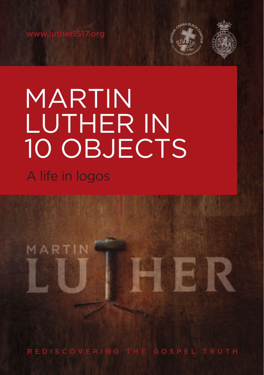

**BER** 

# MARTIN LUTHER IN 10 OBJECTS A life in logos

MARTIN

REDISCOVERING THE GOSPEL TRUTH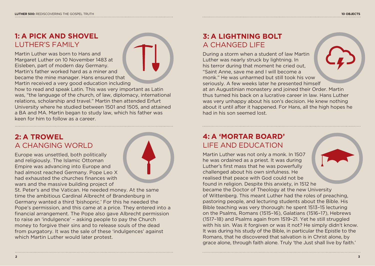# **1: A PICK AND SHOVEL**  LUTHER'S FAMILY

Martin Luther was born to Hans and Margaret Luther on 10 November 1483 at Eisleben, part of modern day Germany. Martin's father worked hard as a miner and became the mine manager. Hans ensured that Martin received a very good education including

how to read and speak Latin. This was very important as Latin was, "the language of the church, of law, diplomacy, international relations, scholarship and travel." Martin then attended Erfurt University where he studied between 1501 and 1505, and attained a BA and MA. Martin began to study law, which his father was keen for him to follow as a career.

## **2: A TROWEL** A CHANGING WORLD

Europe was unsettled, both politically and religiously. The Islamic Ottoman Empire was advancing into Europe and had almost reached Germany. Pope Leo X had exhausted the churches finances with wars and the massive building project of

St. Peter's and the Vatican. He needed money. At the same time the ambitious Cardinal Albrecht of Brandenburg in Germany wanted a third 'bishopric.' For this he needed the Pope's permission, and this came at a price. They entered into a financial arrangement. The Pope also gave Albrecht permission to raise an 'indulgence' – asking people to pay the Church money to forgive their sins and to release souls of the dead from purgatory. It was the sale of these 'indulgences' against which Martin Luther would later protest.

# **3: A LIGHTNING BOLT** A CHANGED LIFE

During a storm when a student of law Martin Luther was nearly struck by lightning. In his terror during that moment he cried out, "Saint Anne, save me and I will become a monk." He was unharmed but still took his vow seriously. A few weeks later he presented himself at an Augustinian monastery and joined their Order. Martin thus turned his back on a lucrative career in law. Hans Luther was very unhappy about his son's decision. He knew nothing about it until after it happened. For Hans, all the high hopes he had in his son seemed lost.

# **4: A 'MORTAR BOARD'** LIFE AND EDUCATION

Martin Luther was not only a monk. In 1507 he was ordained as a priest. It was during Luther's first mass that he was powerfully challenged about his own sinfulness. He realised that peace with God could not be found in religion. Despite this anxiety, in 1512 he became the Doctor of Theology at the new University of Wittenberg. This meant Luther had the roles of preaching, pastoring people, and lecturing students about the Bible. His Bible teaching was very thorough: he spent 1513–15 lecturing on the Psalms, Romans (1515–16), Galatians (1516–17), Hebrews (1517–18) and Psalms again from 1519–21. Yet he still struggled with his sin. Was it forgiven or was it not? He simply didn't know. It was during his study of the Bible, in particular the Epistle to the Romans, that he discovered that salvation is in Christ alone, by grace alone, through faith alone. Truly 'the Just shall live by faith.'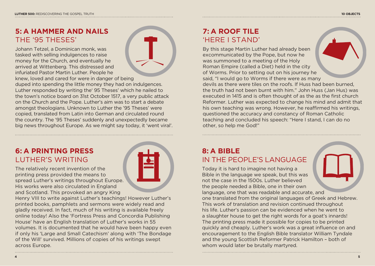Johann Tetzel, a Dominican monk, was tasked with selling indulgences to raise money for the Church, and eventually he arrived at Wittenberg. This distressed and infuriated Pastor Martin Luther. People he

knew, loved and cared for were in danger of being duped into spending the little money they had on indulgences. Luther responded by writing the' 95 Theses' which he nailed to the town's notice board on 31st October 1517, a very public attack on the Church and the Pope. Luther's aim was to start a debate amongst theologians. Unknown to Luther the '95 Theses' were copied, translated from Latin into German and circulated round the country. The '95 Theses' suddenly and unexpectedly became big news throughout Europe. As we might say today, it 'went viral'.

## **6: A PRINTING PRESS** LUTHER'S WRITING

The relatively recent invention of the printing press provided the means to spread Luther's writings throughout Europe. His works were also circulated in England and Scotland. This provoked an angry King

Henry VIII to write against Luther's teachings! However Luther's printed books, pamphlets and sermons were widely read and gladly received. In fact, much of his writing is available freely online today! Also the 'Fortress Press and Concordia Publishing House' have an English translation of Luther's works in 55 volumes. It is documented that he would have been happy even if only his 'Large and Small Catechism' along with 'The Bondage of the Will' survived. Millions of copies of his writings swept across Europe.

By this stage Martin Luther had already been excommunicated by the Pope, but now he was summoned to a meeting of the Holy Roman Empire (called a Diet) held in the city of Worms. Prior to setting out on his journey he said, "I would go to Worms if there were as many devils as there were tiles on the roofs. If Huss had been burned, the truth had not been burnt with him." John Huss (Jan Hus) was executed in 1415 and is often thought of as the as the first church Reformer. Luther was expected to change his mind and admit that his own teaching was wrong. However, he reaffirmed his writings, questioned the accuracy and constancy of Roman Catholic teaching and concluded his speech: "Here I stand, I can do no other, so help me God!"

## **8: A BIBLE** IN THE PEOPLE'S LANGUAGE

Today it is hard to imagine not having a Bible in the language we speak, but this was not the case in the 1500s. Luther believed the people needed a Bible, one in their own language, one that was readable and accurate, and one translated from the original languages of Greek and Hebrew. This work of translation and revision continued throughout his life. Luther's passion can be evidenced when he went to a slaughter house to get the right words for a goat's innards! The printing press made it possible for copies to be printed quickly and cheaply. Luther's work was a great influence on and encouragement to the English Bible translator William Tyndale and the young Scottish Reformer Patrick Hamilton – both of whom would later be brutally martyred.

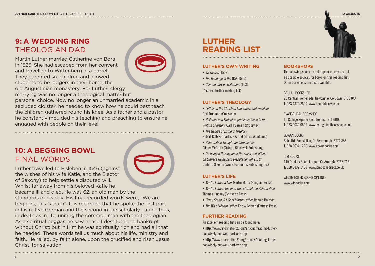## **9: A WEDDING RING** THEOLOGIAN DAD

Martin Luther married Catherine von Bora in 1525. She had escaped from her convent and travelled to Wittenberg in a barrel! They parented six children and allowed students to be lodgers in their home, the old Augustinian monastery. For Luther, clergy marrying was no longer a theological matter but



personal choice. Now no longer an unmarried academic in a secluded cloister, he needed to know how he could best teach the children gathered round his knee. As a father and a pastor he constantly moulded his teaching and preaching to ensure he engaged with people on their level.

## **10: A BEGGING BOWL** FINAL WORDS

Luther travelled to Eisleben in 1546 (against the wishes of his wife Katie, and the Elector of Saxony) to help settle a disputed will. Whilst far away from his beloved Katie he became ill and died. He was 62, an old man by the standards of his day. His final recorded words were, "We are beggars, this is truth". It is recorded that he spoke the first part in his native German and the second in the scholarly Latin – thus, in death as in life, uniting the common man with the theologian. As a spiritual beggar, he saw himself destitute and bankrupt without Christ; but in Him he was spiritually rich and had all that he needed. These words tell us much about his life, ministry and faith. He relied, by faith alone, upon the crucified and risen Jesus

# **LUTHER READING LIST**

## **LUTHER'S OWN WRITING**

- *95 Theses* (1517)
- *The Bondage of the Will* (1525)
- *Commentary on Galatians* (1535) (Also see further reading list)

#### **LUTHER'S THEOLOGY**

- *Luther on the Christian Life: Cross and Freedom* Carl Trueman (Crossway)
- *Histories and Fallacies: problems faced in the writing of history.* Carl Trueman (Crossway)
- *The Genius of Luther's Theology*
- Robert Kolb & Charles P Arand (Baker Academic)
- *Reformation Thought an Introduction* Alister McGrath (Oxford: Blackwell Publishing)
- *On being a theologian of the cross: reflections on Luther's Heidelberg Disputation (of 1518)*
- Gerhard O Forde (Wm B Eerdmans Publishing Co.)

#### **LUTHER'S LIFE**

- *Martin Luther a Life.* Martin Marty (Penguin Books)
- *Martin Luther: the man who started the Reformation.* Thomas Lindsay (Christian Focus)
- *Here I Stand: A Life of Martin Luther.* Ronald Bainton
- *The Wit of Martin Luther.* Eric W Gritsch (Fortress Press)

## **FURTHER READING**

- An excellent reading list can be found here:
- http://www.reformation21.org/articles/reading-luthernot-wisely-but-well-part-one.php
- http://www.reformation21.org/articles/reading-luthernot-wisely-but-well-part-two.php



## **BOOKSHOPS**

The following shops do not appear as adverts but as possible sources for books on this reading list. Other bookshops are also available.

#### BEULAH BOOKSHOP

25 Central Promenade, Newcastle, Co Down BT33 0AA T: 028 4372 2629 www.beulahbooks.com

## EVANGELICAL BOOKSHOP

15 College Square East, Belfast BT1 6DD T: 028 9032 0529 www.evangelicalbookshop.co.uk

### GOWAN BOOKS

Boho Rd, Enniskillen, Co Fermanagh BT74 8AS T: 028 6634 1239 www.gowanbooks.com

### ICM BOOKS

115 Dunkirk Road, Lurgan, Co Armagh BT66 7AR T: 028 3832 1488 www.icmbooksdirect.co.uk

WESTMINSTER BOOKS (ONLINE) www.wtsbooks.com

Christ, for salvation.